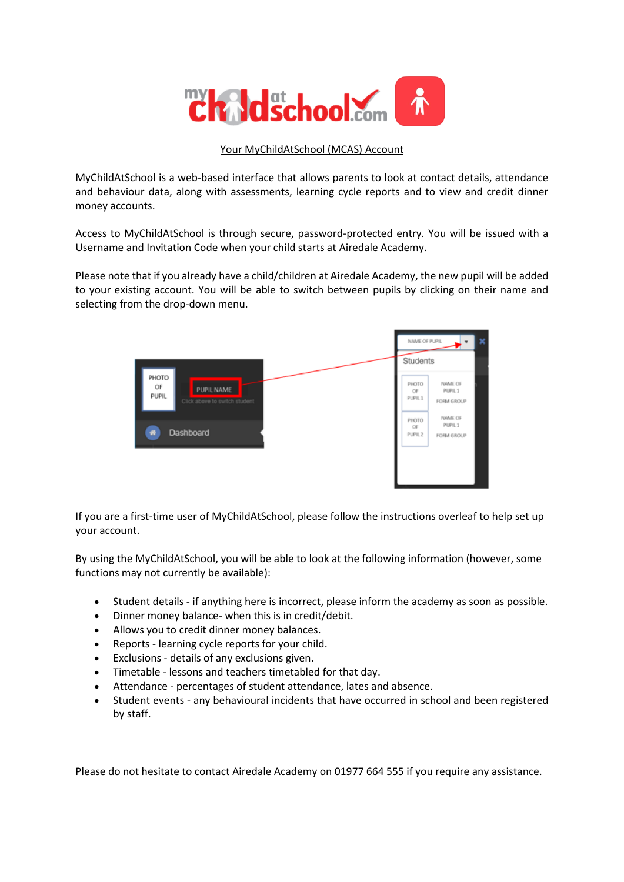

## Your MyChildAtSchool (MCAS) Account

MyChildAtSchool is a web-based interface that allows parents to look at contact details, attendance and behaviour data, along with assessments, learning cycle reports and to view and credit dinner money accounts.

Access to MyChildAtSchool is through secure, password-protected entry. You will be issued with a Username and Invitation Code when your child starts at Airedale Academy.

Please note that if you already have a child/children at Airedale Academy, the new pupil will be added to your existing account. You will be able to switch between pupils by clicking on their name and selecting from the drop-down menu.



If you are a first-time user of MyChildAtSchool, please follow the instructions overleaf to help set up your account.

By using the MyChildAtSchool, you will be able to look at the following information (however, some functions may not currently be available):

- Student details if anything here is incorrect, please inform the academy as soon as possible.
- Dinner money balance- when this is in credit/debit.
- Allows you to credit dinner money balances.
- Reports learning cycle reports for your child.
- Exclusions details of any exclusions given.
- Timetable lessons and teachers timetabled for that day.
- Attendance percentages of student attendance, lates and absence.
- Student events any behavioural incidents that have occurred in school and been registered by staff.

Please do not hesitate to contact Airedale Academy on 01977 664 555 if you require any assistance.